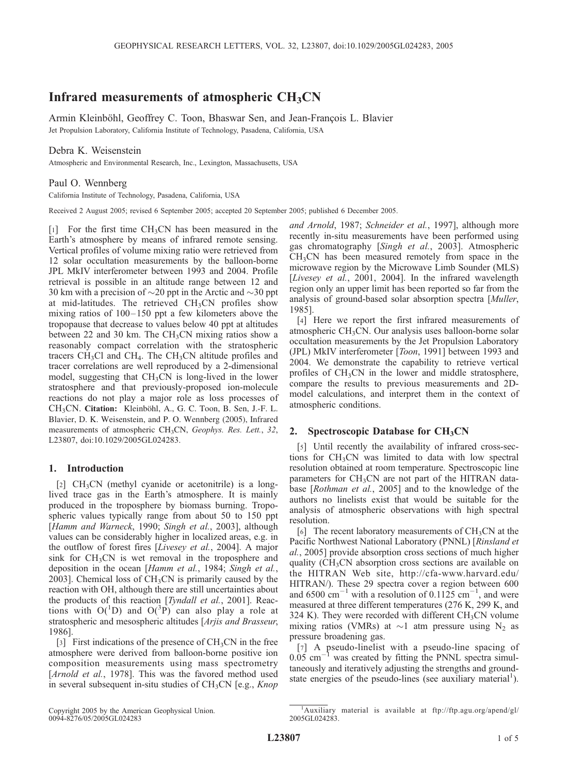# Infrared measurements of atmospheric  $CH<sub>3</sub>CN$

Armin Kleinböhl, Geoffrey C. Toon, Bhaswar Sen, and Jean-François L. Blavier Jet Propulsion Laboratory, California Institute of Technology, Pasadena, California, USA

## Debra K. Weisenstein

Atmospheric and Environmental Research, Inc., Lexington, Massachusetts, USA

## Paul O. Wennberg

California Institute of Technology, Pasadena, California, USA

Received 2 August 2005; revised 6 September 2005; accepted 20 September 2005; published 6 December 2005.

 $[1]$  For the first time CH<sub>3</sub>CN has been measured in the Earth's atmosphere by means of infrared remote sensing. Vertical profiles of volume mixing ratio were retrieved from 12 solar occultation measurements by the balloon-borne JPL MkIV interferometer between 1993 and 2004. Profile retrieval is possible in an altitude range between 12 and 30 km with a precision of  $\sim$ 20 ppt in the Arctic and  $\sim$ 30 ppt at mid-latitudes. The retrieved CH<sub>3</sub>CN profiles show mixing ratios of 100–150 ppt a few kilometers above the tropopause that decrease to values below 40 ppt at altitudes between 22 and 30 km. The  $CH<sub>3</sub>CN$  mixing ratios show a reasonably compact correlation with the stratospheric tracers  $CH<sub>3</sub>Cl$  and  $CH<sub>4</sub>$ . The  $CH<sub>3</sub>CN$  altitude profiles and tracer correlations are well reproduced by a 2-dimensional model, suggesting that  $CH<sub>3</sub>CN$  is long-lived in the lower stratosphere and that previously-proposed ion-molecule reactions do not play a major role as loss processes of CH<sub>3</sub>CN. Citation: Kleinböhl, A., G. C. Toon, B. Sen, J.-F. L. Blavier, D. K. Weisenstein, and P. O. Wennberg (2005), Infrared measurements of atmospheric CH<sub>3</sub>CN, Geophys. Res. Lett., 32, L23807, doi:10.1029/2005GL024283.

## 1. Introduction

 $[2]$  CH<sub>3</sub>CN (methyl cyanide or acetonitrile) is a longlived trace gas in the Earth's atmosphere. It is mainly produced in the troposphere by biomass burning. Tropospheric values typically range from about 50 to 150 ppt [Hamm and Warneck, 1990; Singh et al., 2003], although values can be considerably higher in localized areas, e.g. in the outflow of forest fires [Livesey et al., 2004]. A major sink for  $CH<sub>3</sub>CN$  is wet removal in the troposphere and deposition in the ocean [Hamm et al., 1984; Singh et al., 2003]. Chemical loss of  $CH<sub>3</sub>CN$  is primarily caused by the reaction with OH, although there are still uncertainties about the products of this reaction [*Tyndall et al.*, 2001]. Reactions with  $O(^{1}D)$  and  $O(^{3}P)$  can also play a role at stratospheric and mesospheric altitudes [Arjis and Brasseur, 1986].

[3] First indications of the presence of  $CH<sub>3</sub>CN$  in the free atmosphere were derived from balloon-borne positive ion composition measurements using mass spectrometry [Arnold et al., 1978]. This was the favored method used in several subsequent in-situ studies of  $CH<sub>3</sub>CN$  [e.g., *Knop* 

and Arnold, 1987; Schneider et al., 1997], although more recently in-situ measurements have been performed using gas chromatography [Singh et al., 2003]. Atmospheric  $CH<sub>3</sub>CN$  has been measured remotely from space in the microwave region by the Microwave Limb Sounder (MLS) [Livesey et al., 2001, 2004]. In the infrared wavelength region only an upper limit has been reported so far from the analysis of ground-based solar absorption spectra [Muller, 1985].

[4] Here we report the first infrared measurements of atmospheric CH<sub>3</sub>CN. Our analysis uses balloon-borne solar occultation measurements by the Jet Propulsion Laboratory (JPL) MkIV interferometer [Toon, 1991] between 1993 and 2004. We demonstrate the capability to retrieve vertical profiles of  $CH<sub>3</sub>CN$  in the lower and middle stratosphere, compare the results to previous measurements and 2Dmodel calculations, and interpret them in the context of atmospheric conditions.

### 2. Spectroscopic Database for  $CH<sub>3</sub>CN$

[5] Until recently the availability of infrared cross-sections for  $CH<sub>3</sub>CN$  was limited to data with low spectral resolution obtained at room temperature. Spectroscopic line parameters for  $CH<sub>3</sub>CN$  are not part of the HITRAN database [Rothman et al., 2005] and to the knowledge of the authors no linelists exist that would be suitable for the analysis of atmospheric observations with high spectral resolution.

[6] The recent laboratory measurements of  $CH<sub>3</sub>CN$  at the Pacific Northwest National Laboratory (PNNL) [Rinsland et al., 2005] provide absorption cross sections of much higher quality  $(CH_3CN)$  absorption cross sections are available on the HITRAN Web site, http://cfa-www.harvard.edu/ HITRAN/). These 29 spectra cover a region between 600 and 6500  $\text{cm}^{-1}$  with a resolution of 0.1125  $\text{cm}^{-1}$ , and were measured at three different temperatures (276 K, 299 K, and 324 K). They were recorded with different  $CH<sub>3</sub>CN$  volume mixing ratios (VMRs) at  $\sim$ 1 atm pressure using N<sub>2</sub> as pressure broadening gas.

[7] A pseudo-linelist with a pseudo-line spacing of  $0.05$  cm<sup>-1</sup> was created by fitting the PNNL spectra simultaneously and iteratively adjusting the strengths and groundstate energies of the pseudo-lines (see auxiliary material<sup>1</sup>).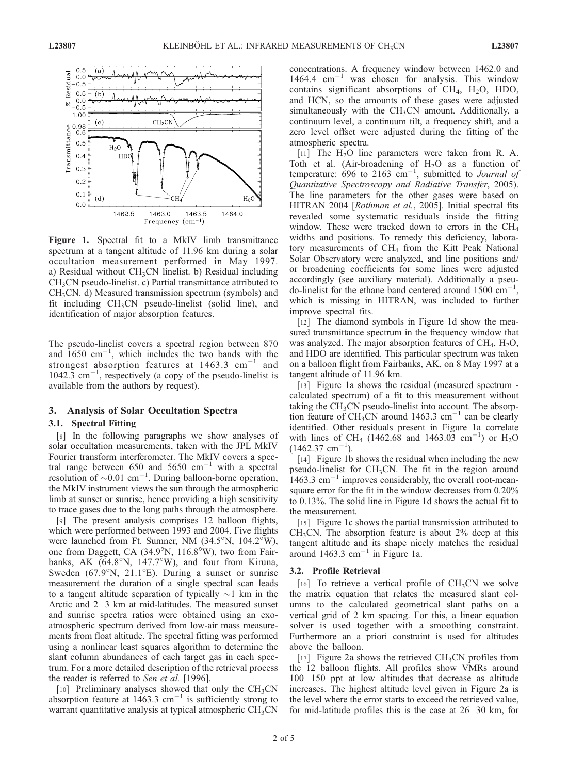

Figure 1. Spectral fit to a MkIV limb transmittance spectrum at a tangent altitude of 11.96 km during a solar occultation measurement performed in May 1997. a) Residual without  $CH<sub>3</sub>CN$  linelist. b) Residual including CH3CN pseudo-linelist. c) Partial transmittance attributed to  $CH<sub>3</sub>CN.$  d) Measured transmission spectrum (symbols) and fit including  $CH<sub>3</sub>CN$  pseudo-linelist (solid line), and identification of major absorption features.

The pseudo-linelist covers a spectral region between 870 and  $1650 \text{ cm}^{-1}$ , which includes the two bands with the strongest absorption features at  $1463.3$  cm<sup>-1</sup> and  $1042.\overline{3}$  cm<sup>-1</sup>, respectively (a copy of the pseudo-linelist is available from the authors by request).

## 3. Analysis of Solar Occultation Spectra

### 3.1. Spectral Fitting

[8] In the following paragraphs we show analyses of solar occultation measurements, taken with the JPL MkIV Fourier transform interferometer. The MkIV covers a spectral range between 650 and 5650  $\text{cm}^{-1}$  with a spectral resolution of  $\sim 0.01$  cm<sup>-1</sup>. During balloon-borne operation, the MkIV instrument views the sun through the atmospheric limb at sunset or sunrise, hence providing a high sensitivity to trace gases due to the long paths through the atmosphere.

[9] The present analysis comprises 12 balloon flights, which were performed between 1993 and 2004. Five flights were launched from Ft. Sumner, NM  $(34.5^{\circ}N, 104.2^{\circ}W)$ , one from Daggett, CA  $(34.9^{\circ}N, 116.8^{\circ}W)$ , two from Fairbanks, AK (64.8°N, 147.7°W), and four from Kiruna, Sweden (67.9°N, 21.1°E). During a sunset or sunrise measurement the duration of a single spectral scan leads to a tangent altitude separation of typically  $\sim$ 1 km in the Arctic and  $2-3$  km at mid-latitudes. The measured sunset and sunrise spectra ratios were obtained using an exoatmospheric spectrum derived from low-air mass measurements from float altitude. The spectral fitting was performed using a nonlinear least squares algorithm to determine the slant column abundances of each target gas in each spectrum. For a more detailed description of the retrieval process the reader is referred to Sen et al. [1996].

[10] Preliminary analyses showed that only the  $CH<sub>3</sub>CN$ absorption feature at  $1463.3 \text{ cm}^{-1}$  is sufficiently strong to warrant quantitative analysis at typical atmospheric CH<sub>3</sub>CN concentrations. A frequency window between 1462.0 and 1464.4 cm<sup>-1</sup> was chosen for analysis. This window contains significant absorptions of  $CH<sub>4</sub>$ , H<sub>2</sub>O, HDO, and HCN, so the amounts of these gases were adjusted simultaneously with the  $CH<sub>3</sub>CN$  amount. Additionally, a continuum level, a continuum tilt, a frequency shift, and a zero level offset were adjusted during the fitting of the atmospheric spectra.

[11] The  $H_2O$  line parameters were taken from R. A. Toth et al. (Air-broadening of  $H_2O$  as a function of temperature:  $\overline{696}$  to 2163 cm<sup>-1</sup>, submitted to *Journal of* Quantitative Spectroscopy and Radiative Transfer, 2005). The line parameters for the other gases were based on HITRAN 2004 [Rothman et al., 2005]. Initial spectral fits revealed some systematic residuals inside the fitting window. These were tracked down to errors in the  $CH<sub>4</sub>$ widths and positions. To remedy this deficiency, laboratory measurements of  $CH<sub>4</sub>$  from the Kitt Peak National Solar Observatory were analyzed, and line positions and/ or broadening coefficients for some lines were adjusted accordingly (see auxiliary material). Additionally a pseudo-linelist for the ethane band centered around  $1500 \text{ cm}^{-1}$ , which is missing in HITRAN, was included to further improve spectral fits.

[12] The diamond symbols in Figure 1d show the measured transmittance spectrum in the frequency window that was analyzed. The major absorption features of  $CH<sub>4</sub>$ ,  $H<sub>2</sub>O$ , and HDO are identified. This particular spectrum was taken on a balloon flight from Fairbanks, AK, on 8 May 1997 at a tangent altitude of 11.96 km.

[13] Figure 1a shows the residual (measured spectrum calculated spectrum) of a fit to this measurement without taking the  $CH<sub>3</sub>CN$  pseudo-linelist into account. The absorption feature of  $CH_3CN$  around 1463.3 cm<sup>-1</sup> can be clearly identified. Other residuals present in Figure 1a correlate with lines of CH<sub>4</sub> (1462.68 and 1463.03 cm<sup>-1</sup>) or H<sub>2</sub>O  $(1462.37$  cm<sup>-</sup> 1 ).

[14] Figure 1b shows the residual when including the new pseudo-linelist for  $CH_3CN$ . The fit in the region around  $1463.3$  cm<sup> $-1$ </sup> improves considerably, the overall root-meansquare error for the fit in the window decreases from 0.20% to 0.13%. The solid line in Figure 1d shows the actual fit to the measurement.

[15] Figure 1c shows the partial transmission attributed to  $CH<sub>3</sub>CN$ . The absorption feature is about 2% deep at this tangent altitude and its shape nicely matches the residual around  $1463.3$  cm<sup>-1</sup> in Figure 1a.

#### 3.2. Profile Retrieval

[16] To retrieve a vertical profile of  $CH<sub>3</sub>CN$  we solve the matrix equation that relates the measured slant columns to the calculated geometrical slant paths on a vertical grid of 2 km spacing. For this, a linear equation solver is used together with a smoothing constraint. Furthermore an a priori constraint is used for altitudes above the balloon.

[17] Figure 2a shows the retrieved  $CH<sub>3</sub>CN$  profiles from the 12 balloon flights. All profiles show VMRs around  $100 - 150$  ppt at low altitudes that decrease as altitude increases. The highest altitude level given in Figure 2a is the level where the error starts to exceed the retrieved value, for mid-latitude profiles this is the case at  $26-30$  km, for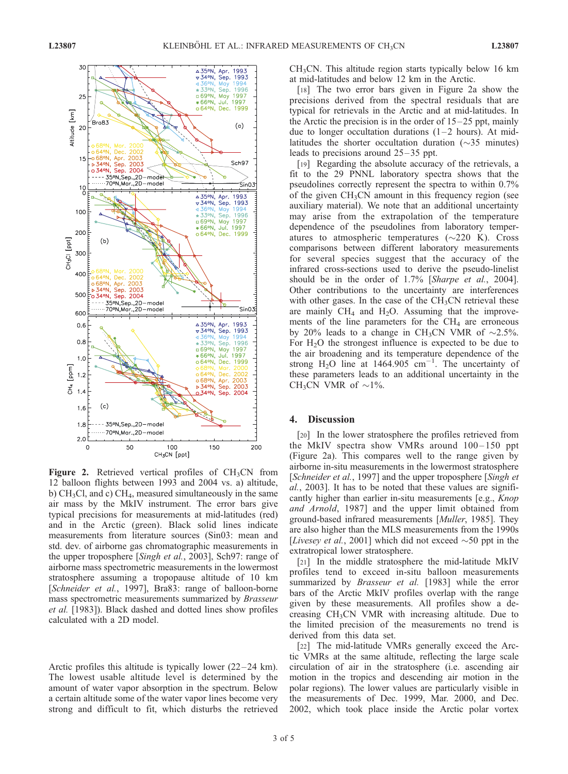

Figure 2. Retrieved vertical profiles of  $CH<sub>3</sub>CN$  from 12 balloon flights between 1993 and 2004 vs. a) altitude, b)  $CH<sub>3</sub>Cl$ , and c)  $CH<sub>4</sub>$ , measured simultaneously in the same air mass by the MkIV instrument. The error bars give typical precisions for measurements at mid-latitudes (red) and in the Arctic (green). Black solid lines indicate measurements from literature sources (Sin03: mean and std. dev. of airborne gas chromatographic measurements in the upper troposphere [Singh et al., 2003], Sch97: range of airborne mass spectrometric measurements in the lowermost stratosphere assuming a tropopause altitude of 10 km [Schneider et al., 1997], Bra83: range of balloon-borne mass spectrometric measurements summarized by Brasseur et al. [1983]). Black dashed and dotted lines show profiles calculated with a 2D model.

Arctic profiles this altitude is typically lower  $(22-24 \text{ km})$ . The lowest usable altitude level is determined by the amount of water vapor absorption in the spectrum. Below a certain altitude some of the water vapor lines become very strong and difficult to fit, which disturbs the retrieved  $CH<sub>3</sub>CN$ . This altitude region starts typically below 16 km at mid-latitudes and below 12 km in the Arctic.

[18] The two error bars given in Figure 2a show the precisions derived from the spectral residuals that are typical for retrievals in the Arctic and at mid-latitudes. In the Arctic the precision is in the order of  $15-25$  ppt, mainly due to longer occultation durations  $(1-2$  hours). At midlatitudes the shorter occultation duration  $(\sim 35$  minutes) leads to precisions around  $25-35$  ppt.

[19] Regarding the absolute accuracy of the retrievals, a fit to the 29 PNNL laboratory spectra shows that the pseudolines correctly represent the spectra to within 0.7% of the given  $CH<sub>3</sub>CN$  amount in this frequency region (see auxiliary material). We note that an additional uncertainty may arise from the extrapolation of the temperature dependence of the pseudolines from laboratory temperatures to atmospheric temperatures  $(\sim 220 \text{ K})$ . Cross comparisons between different laboratory measurements for several species suggest that the accuracy of the infrared cross-sections used to derive the pseudo-linelist should be in the order of 1.7% [Sharpe et al., 2004]. Other contributions to the uncertainty are interferences with other gases. In the case of the  $CH<sub>3</sub>CN$  retrieval these are mainly  $CH_4$  and  $H_2O$ . Assuming that the improvements of the line parameters for the  $CH<sub>4</sub>$  are erroneous by 20% leads to a change in CH<sub>3</sub>CN VMR of  $\sim$ 2.5%. For  $H<sub>2</sub>O$  the strongest influence is expected to be due to the air broadening and its temperature dependence of the strong  $H_2O$  line at 1464.905 cm<sup>-1</sup>. The uncertainty of these parameters leads to an additional uncertainty in the CH<sub>3</sub>CN VMR of  $\sim$ 1%.

#### 4. Discussion

[20] In the lower stratosphere the profiles retrieved from the MkIV spectra show VMRs around  $100-150$  ppt (Figure 2a). This compares well to the range given by airborne in-situ measurements in the lowermost stratosphere [Schneider et al., 1997] and the upper troposphere [Singh et] al., 2003]. It has to be noted that these values are significantly higher than earlier in-situ measurements [e.g., Knop and Arnold, 1987] and the upper limit obtained from ground-based infrared measurements [Muller, 1985]. They are also higher than the MLS measurements from the 1990s [Livesey et al., 2001] which did not exceed  $\sim$  50 ppt in the extratropical lower stratosphere.

[21] In the middle stratosphere the mid-latitude MkIV profiles tend to exceed in-situ balloon measurements summarized by *Brasseur et al.* [1983] while the error bars of the Arctic MkIV profiles overlap with the range given by these measurements. All profiles show a decreasing  $CH<sub>3</sub>CN$  VMR with increasing altitude. Due to the limited precision of the measurements no trend is derived from this data set.

[22] The mid-latitude VMRs generally exceed the Arctic VMRs at the same altitude, reflecting the large scale circulation of air in the stratosphere (i.e. ascending air motion in the tropics and descending air motion in the polar regions). The lower values are particularly visible in the measurements of Dec. 1999, Mar. 2000, and Dec. 2002, which took place inside the Arctic polar vortex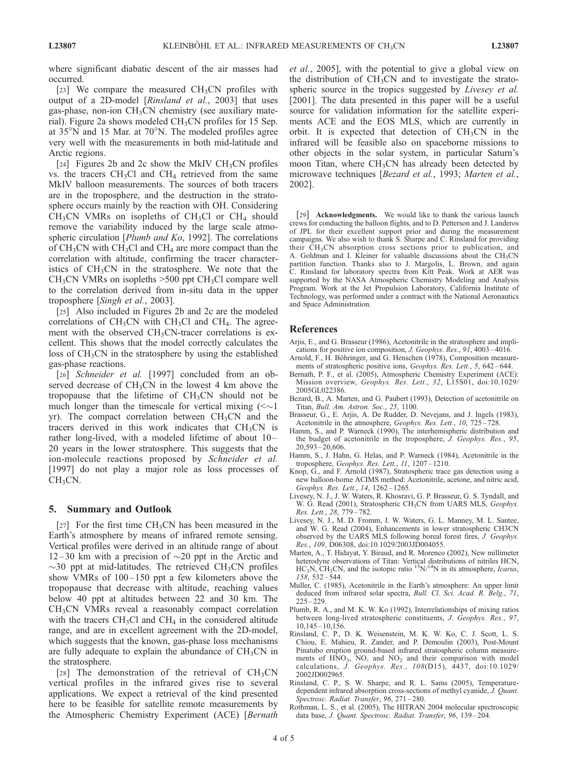where significant diabatic descent of the air masses had occurred.

[23] We compare the measured  $CH_3CN$  profiles with output of a 2D-model [Rinsland et al., 2003] that uses gas-phase, non-ion  $CH<sub>3</sub>CN$  chemistry (see auxiliary material). Figure 2a shows modeled  $CH_3CN$  profiles for 15 Sep. at  $35^{\circ}$ N and 15 Mar. at  $70^{\circ}$ N. The modeled profiles agree very well with the measurements in both mid-latitude and Arctic regions.

[24] Figures 2b and 2c show the MkIV  $CH<sub>3</sub>CN$  profiles vs. the tracers  $CH<sub>3</sub>Cl$  and  $CH<sub>4</sub>$  retrieved from the same MkIV balloon measurements. The sources of both tracers are in the troposphere, and the destruction in the stratosphere occurs mainly by the reaction with OH. Considering  $CH<sub>3</sub>CN$  VMRs on isopleths of CH<sub>3</sub>Cl or CH<sub>4</sub> should remove the variability induced by the large scale atmospheric circulation [Plumb and Ko, 1992]. The correlations of  $CH<sub>3</sub>CN$  with  $CH<sub>3</sub>Cl$  and  $CH<sub>4</sub>$  are more compact than the correlation with altitude, confirming the tracer characteristics of  $CH<sub>3</sub>CN$  in the stratosphere. We note that the  $CH<sub>3</sub>CN VMRs$  on isopleths  $>500$  ppt  $CH<sub>3</sub>Cl$  compare well to the correlation derived from in-situ data in the upper troposphere [Singh et al., 2003].

[25] Also included in Figures 2b and 2c are the modeled correlations of  $CH_3CN$  with  $CH_3Cl$  and  $CH_4$ . The agreement with the observed  $CH<sub>3</sub>CN-tracer$  correlations is excellent. This shows that the model correctly calculates the loss of  $CH<sub>3</sub>CN$  in the stratosphere by using the established gas-phase reactions.

[26] Schneider et al. [1997] concluded from an observed decrease of  $CH<sub>3</sub>CN$  in the lowest 4 km above the tropopause that the lifetime of  $CH<sub>3</sub>CN$  should not be much longer than the timescale for vertical mixing  $(\sim 1)$ yr). The compact correlation between  $CH<sub>3</sub>CN$  and the tracers derived in this work indicates that  $CH<sub>3</sub>CN$  is rather long-lived, with a modeled lifetime of about 10– 20 years in the lower stratosphere. This suggests that the ion-molecule reactions proposed by Schneider et al. [1997] do not play a major role as loss processes of  $CH<sub>3</sub>CN$ .

## 5. Summary and Outlook

[27] For the first time  $CH<sub>3</sub>CN$  has been measured in the Earth's atmosphere by means of infrared remote sensing. Vertical profiles were derived in an altitude range of about 12–30 km with a precision of  $\sim$ 20 ppt in the Arctic and  $\sim$ 30 ppt at mid-latitudes. The retrieved CH<sub>3</sub>CN profiles show VMRs of  $100-150$  ppt a few kilometers above the tropopause that decrease with altitude, reaching values below 40 ppt at altitudes between 22 and 30 km. The CH3CN VMRs reveal a reasonably compact correlation with the tracers  $CH<sub>3</sub>Cl$  and  $CH<sub>4</sub>$  in the considered altitude range, and are in excellent agreement with the 2D-model, which suggests that the known, gas-phase loss mechanisms are fully adequate to explain the abundance of  $CH<sub>3</sub>CN$  in the stratosphere.

[28] The demonstration of the retrieval of  $CH_3CN$ vertical profiles in the infrared gives rise to several applications. We expect a retrieval of the kind presented here to be feasible for satellite remote measurements by the Atmospheric Chemistry Experiment (ACE) [Bernath

et al., 2005], with the potential to give a global view on the distribution of  $CH<sub>3</sub>CN$  and to investigate the stratospheric source in the tropics suggested by *Livesey et al.* [2001]. The data presented in this paper will be a useful source for validation information for the satellite experiments ACE and the EOS MLS, which are currently in orbit. It is expected that detection of  $CH<sub>3</sub>CN$  in the infrared will be feasible also on spaceborne missions to other objects in the solar system, in particular Saturn's moon Titan, where  $CH<sub>3</sub>CN$  has already been detected by microwave techniques [Bezard et al., 1993; Marten et al., 2002].

[29] **Acknowledgments.** We would like to thank the various launch crews for conducting the balloon flights, and to D. Petterson and J. Landeros of JPL for their excellent support prior and during the measurement campaigns. We also wish to thank S. Sharpe and C. Rinsland for providing their  $\tilde{C}H_3CN$  absorption cross sections prior to publication, and A. Goldman and I. Kleiner for valuable discussions about the  $CH<sub>3</sub>CN$ partition function. Thanks also to J. Margolis, L. Brown, and again C. Rinsland for laboratory spectra from Kitt Peak. Work at AER was supported by the NASA Atmospheric Chemistry Modeling and Analysis Program. Work at the Jet Propulsion Laboratory, California Institute of Technology, was performed under a contract with the National Aeronautics and Space Administration.

### References

- Arjis, E., and G. Brasseur (1986), Acetonitrile in the stratosphere and implications for positive ion composition, J. Geophys. Res., 91, 4003 – 4016.
- Arnold, F., H. Böhringer, and G. Henschen (1978), Composition measurements of stratospheric positive ions, Geophys. Res. Lett., 5, 642-644.
- Bernath, P. F., et al. (2005), Atmospheric Chemistry Experiment (ACE): Mission overview, Geophys. Res. Lett., 32, L15S01, doi:10.1029/ 2005GL022386.
- Bezard, B., A. Marten, and G. Paubert (1993), Detection of acetonitrile on Titan, Bull. Am. Astron. Soc., 25, 1100.
- Brasseur, G., E. Arjis, A. De Rudder, D. Nevejans, and J. Ingels (1983), Acetonitrile in the atmosphere, Geophys. Res. Lett., 10, 725 – 728.
- Hamm, S., and P. Warneck (1990), The interhemispheric distribution and the budget of acetonitrile in the troposphere, J. Geophys. Res., 95,  $20.593 - 20.606$ .
- Hamm, S., J. Hahn, G. Helas, and P. Warneck (1984), Acetonitrile in the troposphere, Geophys. Res. Lett., 11, 1207-1210.
- Knop, G., and F. Arnold (1987), Stratospheric trace gas detection using a new balloon-borne ACIMS method: Acetonitrile, acetone, and nitric acid, Geophys. Res. Lett., 14, 1262-1265.
- Livesey, N. J., J. W. Waters, R. Khosravi, G. P. Brasseur, G. S. Tyndall, and W. G. Read (2001), Stratospheric CH<sub>3</sub>CN from UARS MLS, Geophys. Res. Lett., 28, 779 – 782.
- Livesey, N. J., M. D. Fromm, J. W. Waters, G. L. Manney, M. L. Santee, and W. G. Read (2004), Enhancements in lower stratospheric CH3CN observed by the UARS MLS following boreal forest fires, J. Geophys. Res., 109, D06308, doi:10.1029/2003JD004055.
- Marten, A., T. Hidayat, Y. Biraud, and R. Morenco (2002), New millimeter heterodyne observations of Titan: Vertical distributions of nitriles HCN,  $HC_3N$ ,  $CH_3CN$ , and the isotopic ratio  $15N/14N$  in its atmosphere, Icarus, 158, 532 – 544.
- Muller, C. (1985), Acetonitrile in the Earth's atmosphere: An upper limit deduced from infrared solar spectra, Bull. Cl. Sci. Acad. R. Belg., 71,  $225 - 229$
- Plumb, R. A., and M. K. W. Ko (1992), Interrelationships of mixing ratios between long-lived stratospheric constituents, J. Geophys. Res., 97, 10,145 – 10,156.
- Rinsland, C. P., D. K. Weisenstein, M. K. W. Ko, C. J. Scott, L. S. Chiou, E. Mahieu, R. Zander, and P. Demoulin (2003), Post-Mount Pinatubo eruption ground-based infrared stratospheric column measurements of HNO<sub>3</sub>, NO, and NO<sub>2</sub> and their comparison with model calculations, J. Geophys. Res., 108(D15), 4437, doi:10.1029/ 2002JD002965.
- Rinsland, C. P., S. W. Sharpe, and R. L. Sams (2005), Temperaturedependent infrared absorption cross-sections of methyl cyanide, J. Quant. Spectrosc. Radiat. Transfer, 96, 271 – 280.
- Rothman, L. S., et al. (2005), The HITRAN 2004 molecular spectroscopic data base, J. Quant. Spectrosc. Radiat. Transfer, 96, 139-204.